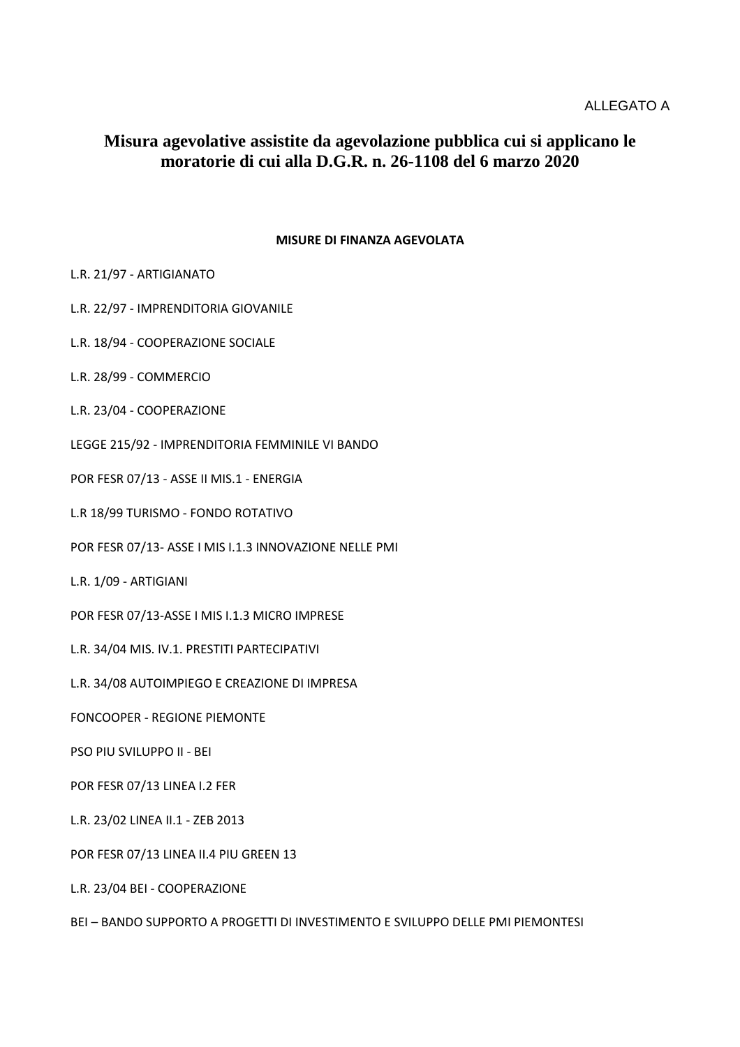## **Misura agevolative assistite da agevolazione pubblica cui si applicano le moratorie di cui alla D.G.R. n. 26-1108 del 6 marzo 2020**

## **MISURE DI FINANZA AGEVOLATA**

- L.R. 21/97 ARTIGIANATO
- L.R. 22/97 IMPRENDITORIA GIOVANILE
- L.R. 18/94 COOPERAZIONE SOCIALE
- L.R. 28/99 COMMERCIO
- L.R. 23/04 COOPERAZIONE
- LEGGE 215/92 IMPRENDITORIA FEMMINILE VI BANDO
- POR FESR 07/13 ASSE II MIS.1 ENERGIA
- L.R 18/99 TURISMO FONDO ROTATIVO
- POR FESR 07/13- ASSE I MIS I.1.3 INNOVAZIONE NELLE PMI
- L.R. 1/09 ARTIGIANI
- POR FESR 07/13-ASSE I MIS I.1.3 MICRO IMPRESE
- L.R. 34/04 MIS. IV.1. PRESTITI PARTECIPATIVI
- L.R. 34/08 AUTOIMPIEGO E CREAZIONE DI IMPRESA
- FONCOOPER REGIONE PIEMONTE
- PSO PIU SVILUPPO II BEI
- POR FESR 07/13 LINEA I.2 FER
- L.R. 23/02 LINEA II.1 ZEB 2013
- POR FESR 07/13 LINEA II.4 PIU GREEN 13
- L.R. 23/04 BEI COOPERAZIONE
- BEI BANDO SUPPORTO A PROGETTI DI INVESTIMENTO E SVILUPPO DELLE PMI PIEMONTESI